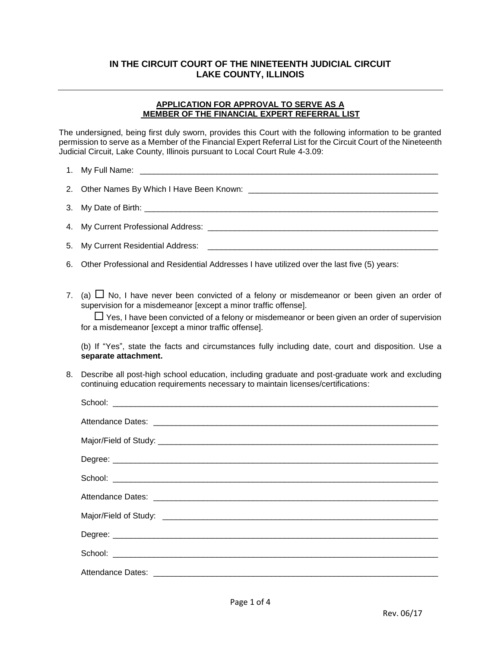### **IN THE CIRCUIT COURT OF THE NINETEENTH JUDICIAL CIRCUIT LAKE COUNTY, ILLINOIS**

#### **APPLICATION FOR APPROVAL TO SERVE AS A MEMBER OF THE FINANCIAL EXPERT REFERRAL LIST**

The undersigned, being first duly sworn, provides this Court with the following information to be granted permission to serve as a Member of the Financial Expert Referral List for the Circuit Court of the Nineteenth Judicial Circuit, Lake County, Illinois pursuant to Local Court Rule 4-3.09:

| My Current Residential Address:                                                                                                                                                                                                                                                                                                 |
|---------------------------------------------------------------------------------------------------------------------------------------------------------------------------------------------------------------------------------------------------------------------------------------------------------------------------------|
| Other Professional and Residential Addresses I have utilized over the last five (5) years:                                                                                                                                                                                                                                      |
| (a) $\Box$ No, I have never been convicted of a felony or misdemeanor or been given an order of<br>supervision for a misdemeanor [except a minor traffic offense].<br>$\Box$ Yes, I have been convicted of a felony or misdemeanor or been given an order of supervision<br>for a misdemeanor [except a minor traffic offense]. |
| (b) If "Yes", state the facts and circumstances fully including date, court and disposition. Use a<br>separate attachment.                                                                                                                                                                                                      |
| Describe all post-high school education, including graduate and post-graduate work and excluding<br>continuing education requirements necessary to maintain licenses/certifications:                                                                                                                                            |
| School: <u>Communication of the communication</u> of the communication of the communication of the communication of the communication of the communication of the communication of the communication of the communication of the co                                                                                             |
|                                                                                                                                                                                                                                                                                                                                 |
|                                                                                                                                                                                                                                                                                                                                 |
|                                                                                                                                                                                                                                                                                                                                 |
|                                                                                                                                                                                                                                                                                                                                 |
|                                                                                                                                                                                                                                                                                                                                 |
|                                                                                                                                                                                                                                                                                                                                 |
|                                                                                                                                                                                                                                                                                                                                 |
|                                                                                                                                                                                                                                                                                                                                 |
|                                                                                                                                                                                                                                                                                                                                 |
|                                                                                                                                                                                                                                                                                                                                 |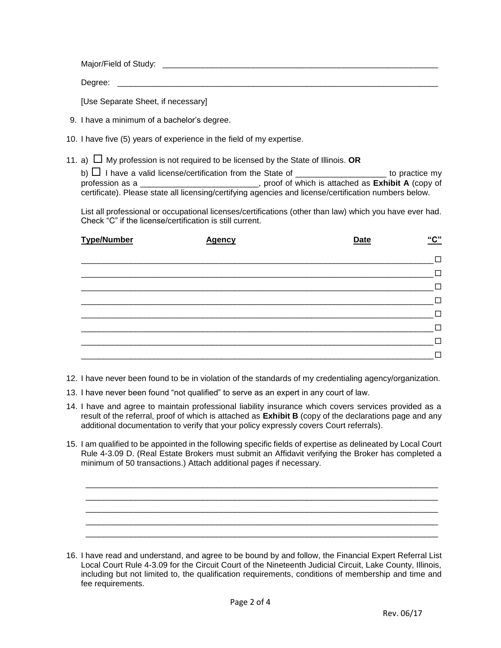Major/Field of Study: \_\_\_\_\_\_\_\_\_\_\_\_\_\_\_\_\_\_\_\_\_\_\_\_\_\_\_\_\_\_\_\_\_\_\_\_\_\_\_\_\_\_\_\_\_\_\_\_\_\_\_\_\_\_\_\_\_\_\_\_\_

Degree: **with a set of the set of the set of the set of the set of the set of the set of the set of the set of the set of the set of the set of the set of the set of the set of the set of the set of the set of the set of t** 

[Use Separate Sheet, if necessary]

- 9. I have a minimum of a bachelor's degree.
- 10. I have five (5) years of experience in the field of my expertise.
- 11. a)  $\Box$  My profession is not required to be licensed by the State of Illinois. **OR**

b)  $\Box$  I have a valid license/certification from the State of \_\_\_\_\_\_\_\_\_\_\_\_\_\_\_\_\_\_\_\_\_\_ to practice my profession as a \_\_\_\_\_\_\_\_\_\_\_\_\_\_\_\_\_\_\_\_\_\_\_\_\_\_, proof of which is attached as **Exhibit A** (copy of certificate). Please state all licensing/certifying agencies and license/certification numbers below.

List all professional or occupational licenses/certifications (other than law) which you have ever had. Check "C" if the license/certification is still current.

| <b>Type/Number</b> | <b>Agency</b> | <b>Date</b> | "C" |
|--------------------|---------------|-------------|-----|
|                    |               |             | П   |
|                    |               |             | П   |
|                    |               |             | П   |
|                    |               |             | Г   |
|                    |               |             | ┍   |
|                    |               |             | Г   |
|                    |               |             | Г   |
|                    |               |             |     |

12. I have never been found to be in violation of the standards of my credentialing agency/organization.

- 13. I have never been found "not qualified" to serve as an expert in any court of law.
- 14. I have and agree to maintain professional liability insurance which covers services provided as a result of the referral, proof of which is attached as **Exhibit B** (copy of the declarations page and any additional documentation to verify that your policy expressly covers Court referrals).
- 15. I am qualified to be appointed in the following specific fields of expertise as delineated by Local Court Rule 4-3.09 D. (Real Estate Brokers must submit an Affidavit verifying the Broker has completed a minimum of 50 transactions.) Attach additional pages if necessary.

\_\_\_\_\_\_\_\_\_\_\_\_\_\_\_\_\_\_\_\_\_\_\_\_\_\_\_\_\_\_\_\_\_\_\_\_\_\_\_\_\_\_\_\_\_\_\_\_\_\_\_\_\_\_\_\_\_\_\_\_\_\_\_\_\_\_\_\_\_\_\_\_\_\_\_\_\_\_ \_\_\_\_\_\_\_\_\_\_\_\_\_\_\_\_\_\_\_\_\_\_\_\_\_\_\_\_\_\_\_\_\_\_\_\_\_\_\_\_\_\_\_\_\_\_\_\_\_\_\_\_\_\_\_\_\_\_\_\_\_\_\_\_\_\_\_\_\_\_\_\_\_\_\_\_\_\_ \_\_\_\_\_\_\_\_\_\_\_\_\_\_\_\_\_\_\_\_\_\_\_\_\_\_\_\_\_\_\_\_\_\_\_\_\_\_\_\_\_\_\_\_\_\_\_\_\_\_\_\_\_\_\_\_\_\_\_\_\_\_\_\_\_\_\_\_\_\_\_\_\_\_\_\_\_\_ \_\_\_\_\_\_\_\_\_\_\_\_\_\_\_\_\_\_\_\_\_\_\_\_\_\_\_\_\_\_\_\_\_\_\_\_\_\_\_\_\_\_\_\_\_\_\_\_\_\_\_\_\_\_\_\_\_\_\_\_\_\_\_\_\_\_\_\_\_\_\_\_\_\_\_\_\_\_ \_\_\_\_\_\_\_\_\_\_\_\_\_\_\_\_\_\_\_\_\_\_\_\_\_\_\_\_\_\_\_\_\_\_\_\_\_\_\_\_\_\_\_\_\_\_\_\_\_\_\_\_\_\_\_\_\_\_\_\_\_\_\_\_\_\_\_\_\_\_\_\_\_\_\_\_\_\_

<sup>16.</sup> I have read and understand, and agree to be bound by and follow, the Financial Expert Referral List Local Court Rule 4-3.09 for the Circuit Court of the Nineteenth Judicial Circuit, Lake County, Illinois, including but not limited to, the qualification requirements, conditions of membership and time and fee requirements.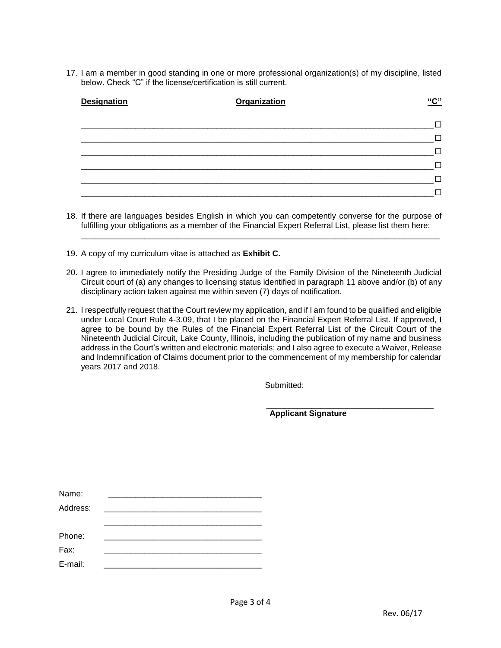17. I am a member in good standing in one or more professional organization(s) of my discipline, listed below. Check "C" if the license/certification is still current.

| <b>Designation</b> | <b>Organization</b> | "C" |
|--------------------|---------------------|-----|
|                    |                     |     |
|                    |                     |     |
|                    |                     |     |
|                    |                     |     |
|                    |                     |     |
|                    |                     |     |

18. If there are languages besides English in which you can competently converse for the purpose of fulfilling your obligations as a member of the Financial Expert Referral List, please list them here:

\_\_\_\_\_\_\_\_\_\_\_\_\_\_\_\_\_\_\_\_\_\_\_\_\_\_\_\_\_\_\_\_\_\_\_\_\_\_\_\_\_\_\_\_\_\_\_\_\_\_\_\_\_\_\_\_\_\_\_\_\_\_\_\_\_\_\_\_\_\_\_\_\_\_\_\_\_\_\_

- 19. A copy of my curriculum vitae is attached as **Exhibit C.**
- 20. I agree to immediately notify the Presiding Judge of the Family Division of the Nineteenth Judicial Circuit court of (a) any changes to licensing status identified in paragraph 11 above and/or (b) of any disciplinary action taken against me within seven (7) days of notification.
- 21. I respectfully request that the Court review my application, and if I am found to be qualified and eligible under Local Court Rule 4-3.09, that I be placed on the Financial Expert Referral List. If approved, I agree to be bound by the Rules of the Financial Expert Referral List of the Circuit Court of the Nineteenth Judicial Circuit, Lake County, Illinois, including the publication of my name and business address in the Court's written and electronic materials; and I also agree to execute a Waiver, Release and Indemnification of Claims document prior to the commencement of my membership for calendar years 2017 and 2018.

Submitted:

 **Applicant Signature**

\_\_\_\_\_\_\_\_\_\_\_\_\_\_\_\_\_\_\_\_\_\_\_\_\_\_\_\_\_\_\_\_\_\_\_\_\_

| Name:    |  |  |
|----------|--|--|
| Address: |  |  |
|          |  |  |
| Phone:   |  |  |
| Fax:     |  |  |
| E-mail:  |  |  |
|          |  |  |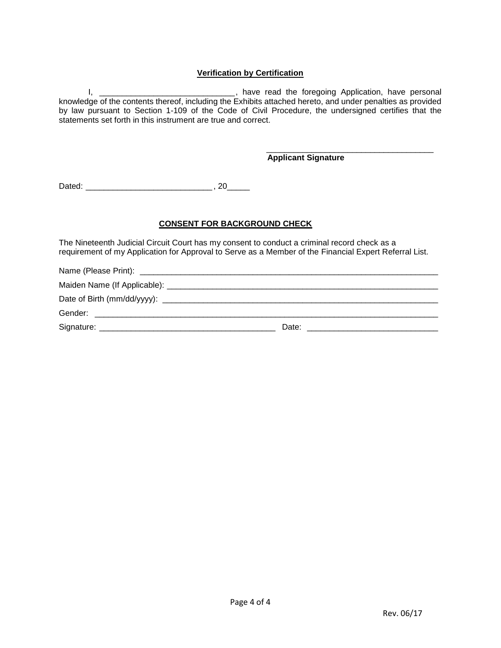#### **Verification by Certification**

I, \_\_\_\_\_\_\_\_\_\_\_\_\_\_\_\_\_\_\_\_\_\_\_\_\_\_\_\_\_\_\_\_\_\_, have read the foregoing Application, have personal knowledge of the contents thereof, including the Exhibits attached hereto, and under penalties as provided by law pursuant to Section 1-109 of the Code of Civil Procedure, the undersigned certifies that the statements set forth in this instrument are true and correct.

#### \_\_\_\_\_\_\_\_\_\_\_\_\_\_\_\_\_\_\_\_\_\_\_\_\_\_\_\_\_\_\_\_\_\_\_\_\_ **Applicant Signature**

Dated: \_\_\_\_\_\_\_\_\_\_\_\_\_\_\_\_\_\_\_\_\_\_\_\_\_\_\_\_ , 20\_\_\_\_\_

#### **CONSENT FOR BACKGROUND CHECK**

The Nineteenth Judicial Circuit Court has my consent to conduct a criminal record check as a requirement of my Application for Approval to Serve as a Member of the Financial Expert Referral List.

Name (Please Print): **We also contain the example of the example of the example of the example of the example of the example of the example of the example of the example of the example of the example of the example of the** 

Maiden Name (If Applicable):  $\blacksquare$ 

|  | Date of Birth (mm/dd/yyyy): |  |
|--|-----------------------------|--|
|--|-----------------------------|--|

Gender: \_\_\_\_\_\_\_\_\_\_\_\_\_\_\_\_\_\_\_\_\_\_\_\_\_\_\_\_\_\_\_\_\_\_\_\_\_\_\_\_\_\_\_\_\_\_\_\_\_\_\_\_\_\_\_\_\_\_\_\_\_\_\_\_\_\_\_\_\_\_\_\_\_\_\_\_

Signature: \_\_\_\_\_\_\_\_\_\_\_\_\_\_\_\_\_\_\_\_\_\_\_\_\_\_\_\_\_\_\_\_\_\_\_\_\_\_\_ Date: \_\_\_\_\_\_\_\_\_\_\_\_\_\_\_\_\_\_\_\_\_\_\_\_\_\_\_\_\_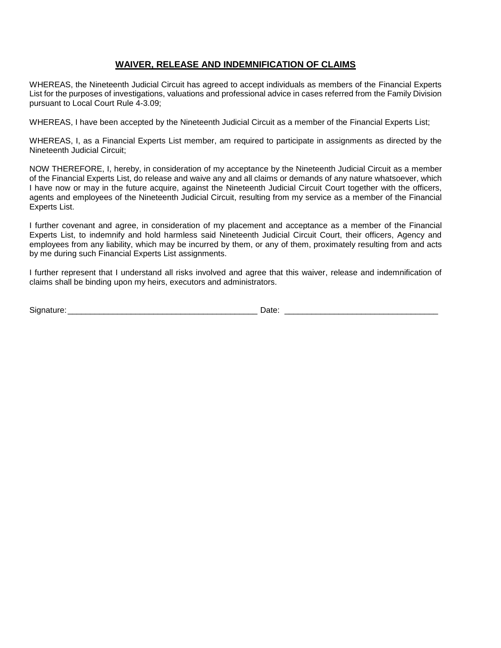#### **WAIVER, RELEASE AND INDEMNIFICATION OF CLAIMS**

WHEREAS, the Nineteenth Judicial Circuit has agreed to accept individuals as members of the Financial Experts List for the purposes of investigations, valuations and professional advice in cases referred from the Family Division pursuant to Local Court Rule 4-3.09;

WHEREAS, I have been accepted by the Nineteenth Judicial Circuit as a member of the Financial Experts List;

WHEREAS, I, as a Financial Experts List member, am required to participate in assignments as directed by the Nineteenth Judicial Circuit;

NOW THEREFORE, I, hereby, in consideration of my acceptance by the Nineteenth Judicial Circuit as a member of the Financial Experts List, do release and waive any and all claims or demands of any nature whatsoever, which I have now or may in the future acquire, against the Nineteenth Judicial Circuit Court together with the officers, agents and employees of the Nineteenth Judicial Circuit, resulting from my service as a member of the Financial Experts List.

I further covenant and agree, in consideration of my placement and acceptance as a member of the Financial Experts List, to indemnify and hold harmless said Nineteenth Judicial Circuit Court, their officers, Agency and employees from any liability, which may be incurred by them, or any of them, proximately resulting from and acts by me during such Financial Experts List assignments.

I further represent that I understand all risks involved and agree that this waiver, release and indemnification of claims shall be binding upon my heirs, executors and administrators.

| -<br>יוכ<br>້<br>-- |  |
|---------------------|--|
|---------------------|--|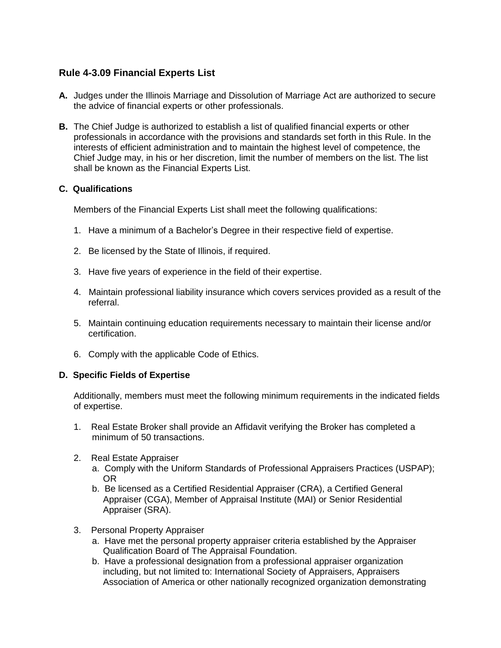# **Rule 4-3.09 Financial Experts List**

- **A.** Judges under the Illinois Marriage and Dissolution of Marriage Act are authorized to secure the advice of financial experts or other professionals.
- **B.** The Chief Judge is authorized to establish a list of qualified financial experts or other professionals in accordance with the provisions and standards set forth in this Rule. In the interests of efficient administration and to maintain the highest level of competence, the Chief Judge may, in his or her discretion, limit the number of members on the list. The list shall be known as the Financial Experts List.

### **C. Qualifications**

Members of the Financial Experts List shall meet the following qualifications:

- 1. Have a minimum of a Bachelor's Degree in their respective field of expertise.
- 2. Be licensed by the State of Illinois, if required.
- 3. Have five years of experience in the field of their expertise.
- 4. Maintain professional liability insurance which covers services provided as a result of the referral.
- 5. Maintain continuing education requirements necessary to maintain their license and/or certification.
- 6. Comply with the applicable Code of Ethics.

### **D. Specific Fields of Expertise**

Additionally, members must meet the following minimum requirements in the indicated fields of expertise.

- 1. Real Estate Broker shall provide an Affidavit verifying the Broker has completed a minimum of 50 transactions.
- 2. Real Estate Appraiser
	- a. Comply with the Uniform Standards of Professional Appraisers Practices (USPAP); OR
	- b. Be licensed as a Certified Residential Appraiser (CRA), a Certified General Appraiser (CGA), Member of Appraisal Institute (MAI) or Senior Residential Appraiser (SRA).
- 3. Personal Property Appraiser
	- a. Have met the personal property appraiser criteria established by the Appraiser Qualification Board of The Appraisal Foundation.
	- b. Have a professional designation from a professional appraiser organization including, but not limited to: International Society of Appraisers, Appraisers Association of America or other nationally recognized organization demonstrating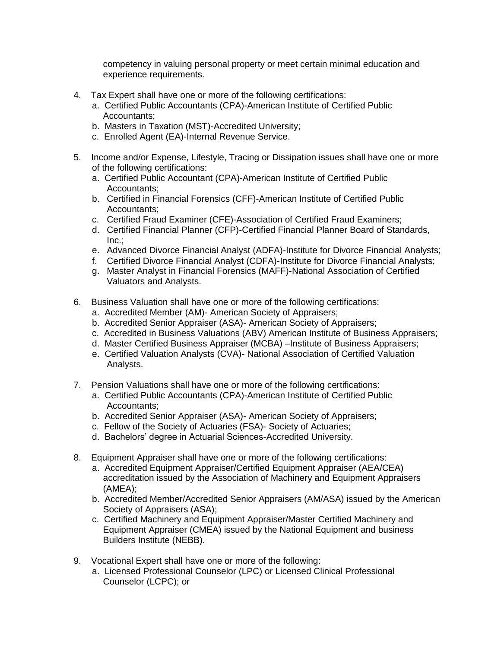competency in valuing personal property or meet certain minimal education and experience requirements.

- 4. Tax Expert shall have one or more of the following certifications:
	- a. Certified Public Accountants (CPA)-American Institute of Certified Public Accountants;
	- b. Masters in Taxation (MST)-Accredited University;
	- c. Enrolled Agent (EA)-Internal Revenue Service.
- 5. Income and/or Expense, Lifestyle, Tracing or Dissipation issues shall have one or more of the following certifications:
	- a. Certified Public Accountant (CPA)-American Institute of Certified Public Accountants;
	- b. Certified in Financial Forensics (CFF)-American Institute of Certified Public Accountants;
	- c. Certified Fraud Examiner (CFE)-Association of Certified Fraud Examiners;
	- d. Certified Financial Planner (CFP)-Certified Financial Planner Board of Standards, Inc.;
	- e. Advanced Divorce Financial Analyst (ADFA)-Institute for Divorce Financial Analysts;
	- f. Certified Divorce Financial Analyst (CDFA)-Institute for Divorce Financial Analysts;
	- g. Master Analyst in Financial Forensics (MAFF)-National Association of Certified Valuators and Analysts.
- 6. Business Valuation shall have one or more of the following certifications:
	- a. Accredited Member (AM)- American Society of Appraisers;
	- b. Accredited Senior Appraiser (ASA)- American Society of Appraisers;
	- c. Accredited in Business Valuations (ABV) American Institute of Business Appraisers;
	- d. Master Certified Business Appraiser (MCBA) –Institute of Business Appraisers;
	- e. Certified Valuation Analysts (CVA)- National Association of Certified Valuation Analysts.
- 7. Pension Valuations shall have one or more of the following certifications:
	- a. Certified Public Accountants (CPA)-American Institute of Certified Public Accountants;
	- b. Accredited Senior Appraiser (ASA)- American Society of Appraisers;
	- c. Fellow of the Society of Actuaries (FSA)- Society of Actuaries;
	- d. Bachelors' degree in Actuarial Sciences-Accredited University.
- 8. Equipment Appraiser shall have one or more of the following certifications:
	- a. Accredited Equipment Appraiser/Certified Equipment Appraiser (AEA/CEA) accreditation issued by the Association of Machinery and Equipment Appraisers (AMEA);
	- b. Accredited Member/Accredited Senior Appraisers (AM/ASA) issued by the American Society of Appraisers (ASA);
	- c. Certified Machinery and Equipment Appraiser/Master Certified Machinery and Equipment Appraiser (CMEA) issued by the National Equipment and business Builders Institute (NEBB).
- 9. Vocational Expert shall have one or more of the following:
	- a. Licensed Professional Counselor (LPC) or Licensed Clinical Professional Counselor (LCPC); or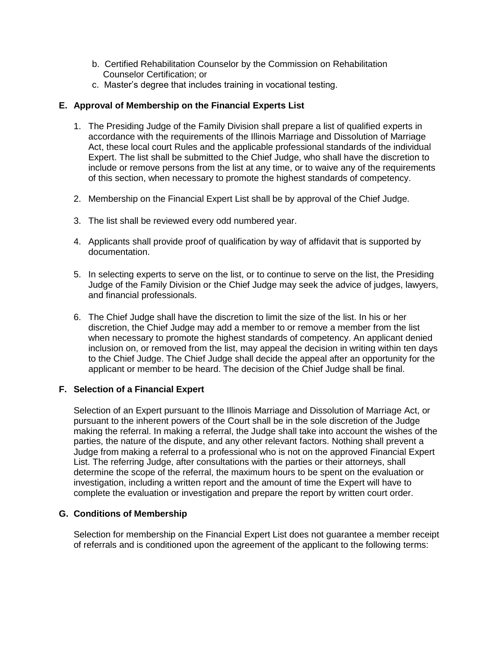- b. Certified Rehabilitation Counselor by the Commission on Rehabilitation Counselor Certification; or
- c. Master's degree that includes training in vocational testing.

## **E. Approval of Membership on the Financial Experts List**

- 1. The Presiding Judge of the Family Division shall prepare a list of qualified experts in accordance with the requirements of the Illinois Marriage and Dissolution of Marriage Act, these local court Rules and the applicable professional standards of the individual Expert. The list shall be submitted to the Chief Judge, who shall have the discretion to include or remove persons from the list at any time, or to waive any of the requirements of this section, when necessary to promote the highest standards of competency.
- 2. Membership on the Financial Expert List shall be by approval of the Chief Judge.
- 3. The list shall be reviewed every odd numbered year.
- 4. Applicants shall provide proof of qualification by way of affidavit that is supported by documentation.
- 5. In selecting experts to serve on the list, or to continue to serve on the list, the Presiding Judge of the Family Division or the Chief Judge may seek the advice of judges, lawyers, and financial professionals.
- 6. The Chief Judge shall have the discretion to limit the size of the list. In his or her discretion, the Chief Judge may add a member to or remove a member from the list when necessary to promote the highest standards of competency. An applicant denied inclusion on, or removed from the list, may appeal the decision in writing within ten days to the Chief Judge. The Chief Judge shall decide the appeal after an opportunity for the applicant or member to be heard. The decision of the Chief Judge shall be final.

### **F. Selection of a Financial Expert**

Selection of an Expert pursuant to the Illinois Marriage and Dissolution of Marriage Act, or pursuant to the inherent powers of the Court shall be in the sole discretion of the Judge making the referral. In making a referral, the Judge shall take into account the wishes of the parties, the nature of the dispute, and any other relevant factors. Nothing shall prevent a Judge from making a referral to a professional who is not on the approved Financial Expert List. The referring Judge, after consultations with the parties or their attorneys, shall determine the scope of the referral, the maximum hours to be spent on the evaluation or investigation, including a written report and the amount of time the Expert will have to complete the evaluation or investigation and prepare the report by written court order.

### **G. Conditions of Membership**

Selection for membership on the Financial Expert List does not guarantee a member receipt of referrals and is conditioned upon the agreement of the applicant to the following terms: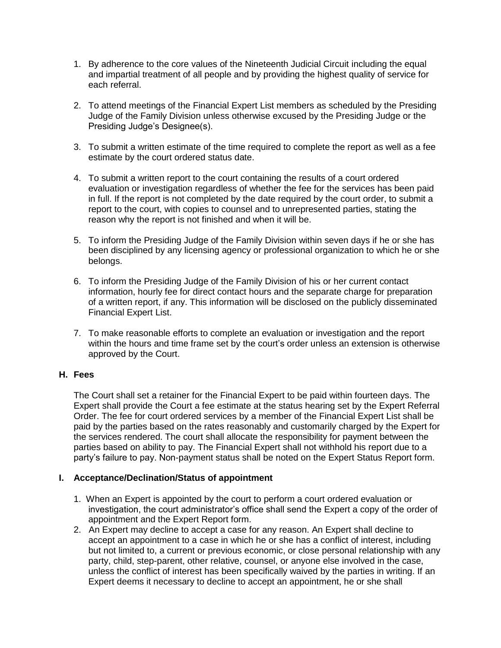- 1. By adherence to the core values of the Nineteenth Judicial Circuit including the equal and impartial treatment of all people and by providing the highest quality of service for each referral.
- 2. To attend meetings of the Financial Expert List members as scheduled by the Presiding Judge of the Family Division unless otherwise excused by the Presiding Judge or the Presiding Judge's Designee(s).
- 3. To submit a written estimate of the time required to complete the report as well as a fee estimate by the court ordered status date.
- 4. To submit a written report to the court containing the results of a court ordered evaluation or investigation regardless of whether the fee for the services has been paid in full. If the report is not completed by the date required by the court order, to submit a report to the court, with copies to counsel and to unrepresented parties, stating the reason why the report is not finished and when it will be.
- 5. To inform the Presiding Judge of the Family Division within seven days if he or she has been disciplined by any licensing agency or professional organization to which he or she belongs.
- 6. To inform the Presiding Judge of the Family Division of his or her current contact information, hourly fee for direct contact hours and the separate charge for preparation of a written report, if any. This information will be disclosed on the publicly disseminated Financial Expert List.
- 7. To make reasonable efforts to complete an evaluation or investigation and the report within the hours and time frame set by the court's order unless an extension is otherwise approved by the Court.

## **H. Fees**

The Court shall set a retainer for the Financial Expert to be paid within fourteen days. The Expert shall provide the Court a fee estimate at the status hearing set by the Expert Referral Order. The fee for court ordered services by a member of the Financial Expert List shall be paid by the parties based on the rates reasonably and customarily charged by the Expert for the services rendered. The court shall allocate the responsibility for payment between the parties based on ability to pay. The Financial Expert shall not withhold his report due to a party's failure to pay. Non-payment status shall be noted on the Expert Status Report form.

### **I. Acceptance/Declination/Status of appointment**

- 1. When an Expert is appointed by the court to perform a court ordered evaluation or investigation, the court administrator's office shall send the Expert a copy of the order of appointment and the Expert Report form.
- 2. An Expert may decline to accept a case for any reason. An Expert shall decline to accept an appointment to a case in which he or she has a conflict of interest, including but not limited to, a current or previous economic, or close personal relationship with any party, child, step-parent, other relative, counsel, or anyone else involved in the case, unless the conflict of interest has been specifically waived by the parties in writing. If an Expert deems it necessary to decline to accept an appointment, he or she shall